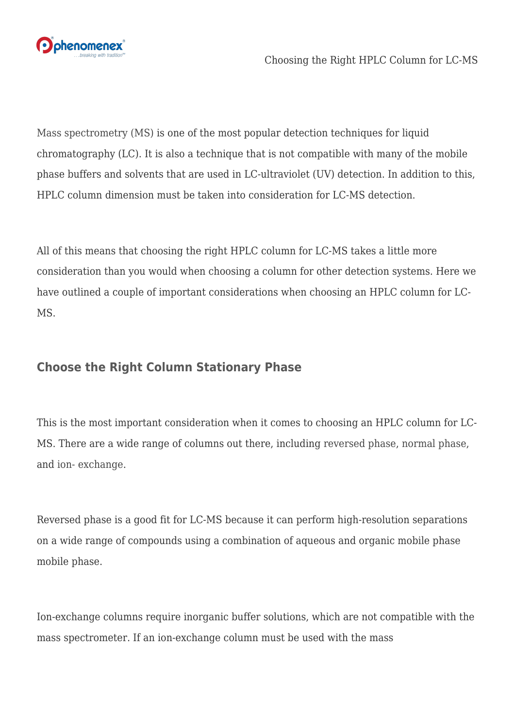

[Mass spectrometry \(MS\)](https://sciex.com/products/mass-spectrometers?utm_campaign=blog%20articles&utm_source=worpress&utm_medium=social&utm_term=brightedge%20content&utm_content=hplc-column-lcms) is one of the most popular detection techniques for liquid chromatography (LC). It is also a technique that is not compatible with many of the mobile phase buffers and solvents that are used in LC-ultraviolet (UV) detection. In addition to this, HPLC column dimension must be taken into consideration for LC-MS detection.

All of this means that choosing the right HPLC column for LC-MS takes a little more consideration than you would when choosing a column for other detection systems. Here we have outlined a couple of important considerations when choosing an HPLC column for LC-MS.

## **Choose the Right Column Stationary Phase**

This is the most important consideration when it comes to choosing an HPLC column for LC-MS. There are a wide range of columns out there, including [reversed phase,](https://www.phenomenex.com/hplc-column/reversed-phase-hplc-column?utm_campaign=blog%20articles&utm_source=worpress&utm_medium=social&utm_term=brightedge%20content&utm_content=hplc-column-lcms) [normal phase](https://www.phenomenex.com/hplc-column/reversed-phase-hplc-column?utm_campaign=blog%20articles&utm_source=worpress&utm_medium=social&utm_term=brightedge%20content&utm_content=hplc-column-lcms#normal-phase), and [ion- exchange](https://www.phenomenex.com/hplc-column/reversed-phase-hplc-column#ion-exchange).

Reversed phase is a good fit for LC-MS because it can perform high-resolution separations on a wide range of compounds using a combination of aqueous and organic mobile phase mobile phase.

Ion-exchange columns require inorganic buffer solutions, which are not compatible with the mass spectrometer. If an ion-exchange column must be used with the mass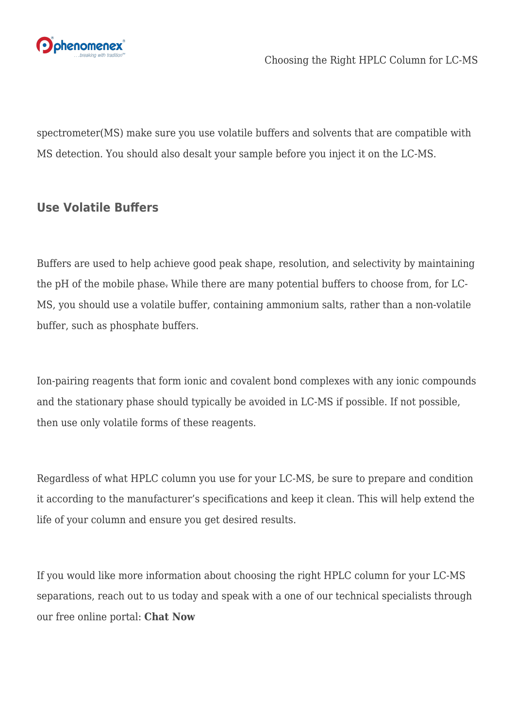

spectrometer(MS) make sure you use volatile buffers and solvents that are compatible with MS detection. You should also desalt your sample before you inject it on the LC-MS.

## **Use Volatile Buffers**

Buffers are used to help achieve good peak shape, resolution, and selectivity by maintaining the pH of the mobile phase. While there are many potential buffers to choose from, for LC-MS, you should use a volatile buffer, containing ammonium salts, rather than a non-volatile buffer, such as phosphate buffers.

Ion-pairing reagents that form ionic and covalent bond complexes with any ionic compounds and the stationary phase should typically be avoided in LC-MS if possible. If not possible, then use only volatile forms of these reagents.

Regardless of what HPLC column you use for your LC-MS, be sure to prepare and condition it according to the manufacturer's specifications and keep it clean. This will help extend the life of your column and ensure you get desired results.

If you would like more information about choosing the right HPLC column for your LC-MS separations, reach out to us today and speak with a one of our technical specialists through our free online portal: **[Chat Now](https://discover.phenomenex.com/chat?utm_campaign=blog%20articles&utm_source=worpress&utm_medium=social&utm_term=brightedge%20content&utm_content=hplc-column-lcms)**